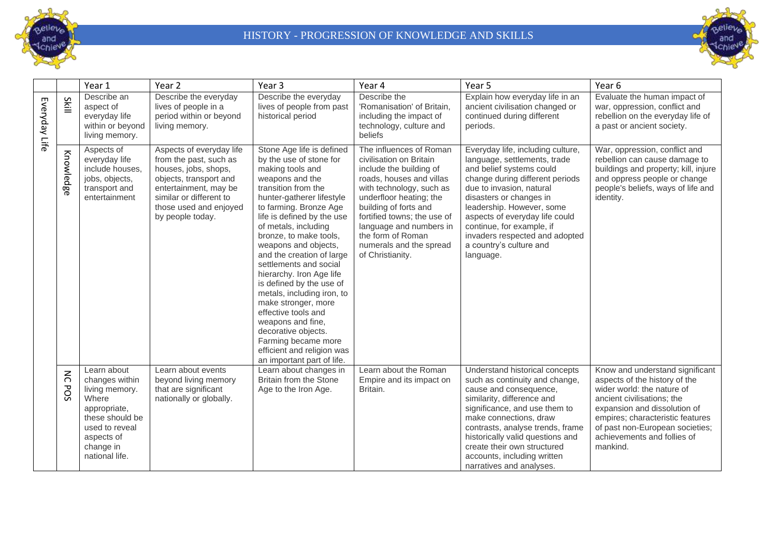



|               |                                      | Year 1                                                                                                                                                     | Year 2                                                                                                                                                                                                 | Year <sub>3</sub>                                                                                                                                                                                                                                                                                                                                                                                                                                                                                                                                                                                           | Year 4                                                                                                                                                                                                                                                                                                                  | Year 5                                                                                                                                                                                                                                                                                                                                                        | Year 6                                                                                                                                                                                                                                                                         |
|---------------|--------------------------------------|------------------------------------------------------------------------------------------------------------------------------------------------------------|--------------------------------------------------------------------------------------------------------------------------------------------------------------------------------------------------------|-------------------------------------------------------------------------------------------------------------------------------------------------------------------------------------------------------------------------------------------------------------------------------------------------------------------------------------------------------------------------------------------------------------------------------------------------------------------------------------------------------------------------------------------------------------------------------------------------------------|-------------------------------------------------------------------------------------------------------------------------------------------------------------------------------------------------------------------------------------------------------------------------------------------------------------------------|---------------------------------------------------------------------------------------------------------------------------------------------------------------------------------------------------------------------------------------------------------------------------------------------------------------------------------------------------------------|--------------------------------------------------------------------------------------------------------------------------------------------------------------------------------------------------------------------------------------------------------------------------------|
| Everyday Life | Skill                                | Describe an<br>aspect of<br>everyday life<br>within or beyond<br>living memory.                                                                            | Describe the everyday<br>lives of people in a<br>period within or beyond<br>living memory.                                                                                                             | Describe the everyday<br>lives of people from past<br>historical period                                                                                                                                                                                                                                                                                                                                                                                                                                                                                                                                     | Describe the<br>'Romanisation' of Britain,<br>including the impact of<br>technology, culture and<br>beliefs                                                                                                                                                                                                             | Explain how everyday life in an<br>ancient civilisation changed or<br>continued during different<br>periods.                                                                                                                                                                                                                                                  | Evaluate the human impact of<br>war, oppression, conflict and<br>rebellion on the everyday life of<br>a past or ancient society.                                                                                                                                               |
|               | Knowledge                            | Aspects of<br>everyday life<br>include houses,<br>jobs, objects,<br>transport and<br>entertainment                                                         | Aspects of everyday life<br>from the past, such as<br>houses, jobs, shops,<br>objects, transport and<br>entertainment, may be<br>similar or different to<br>those used and enjoyed<br>by people today. | Stone Age life is defined<br>by the use of stone for<br>making tools and<br>weapons and the<br>transition from the<br>hunter-gatherer lifestyle<br>to farming. Bronze Age<br>life is defined by the use<br>of metals, including<br>bronze, to make tools,<br>weapons and objects,<br>and the creation of large<br>settlements and social<br>hierarchy. Iron Age life<br>is defined by the use of<br>metals, including iron, to<br>make stronger, more<br>effective tools and<br>weapons and fine,<br>decorative objects.<br>Farming became more<br>efficient and religion was<br>an important part of life. | The influences of Roman<br>civilisation on Britain<br>include the building of<br>roads, houses and villas<br>with technology, such as<br>underfloor heating; the<br>building of forts and<br>fortified towns; the use of<br>language and numbers in<br>the form of Roman<br>numerals and the spread<br>of Christianity. | Everyday life, including culture,<br>language, settlements, trade<br>and belief systems could<br>change during different periods<br>due to invasion, natural<br>disasters or changes in<br>leadership. However, some<br>aspects of everyday life could<br>continue, for example, if<br>invaders respected and adopted<br>a country's culture and<br>language. | War, oppression, conflict and<br>rebellion can cause damage to<br>buildings and property; kill, injure<br>and oppress people or change<br>people's beliefs, ways of life and<br>identity.                                                                                      |
|               | $\lesssim$<br>$\mathbf \sigma$<br>SO | Learn about<br>changes within<br>living memory.<br>Where<br>appropriate,<br>these should be<br>used to reveal<br>aspects of<br>change in<br>national life. | Learn about events<br>beyond living memory<br>that are significant<br>nationally or globally.                                                                                                          | Learn about changes in<br>Britain from the Stone<br>Age to the Iron Age.                                                                                                                                                                                                                                                                                                                                                                                                                                                                                                                                    | Learn about the Roman<br>Empire and its impact on<br>Britain.                                                                                                                                                                                                                                                           | Understand historical concepts<br>such as continuity and change,<br>cause and consequence,<br>similarity, difference and<br>significance, and use them to<br>make connections, draw<br>contrasts, analyse trends, frame<br>historically valid questions and<br>create their own structured<br>accounts, including written<br>narratives and analyses.         | Know and understand significant<br>aspects of the history of the<br>wider world: the nature of<br>ancient civilisations; the<br>expansion and dissolution of<br>empires; characteristic features<br>of past non-European societies;<br>achievements and follies of<br>mankind. |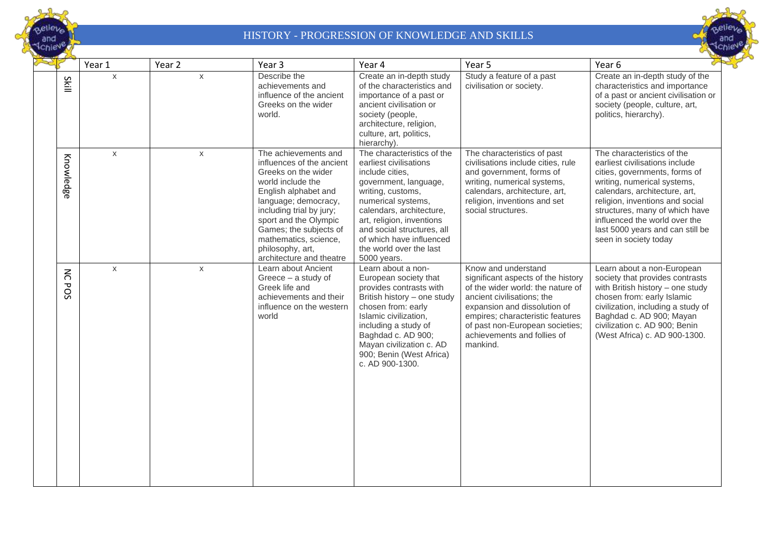



|                   | Year 1       | Year 2       | Year 3                                                                                                                                                                                                                                                                                                | Year 4                                                                                                                                                                                                                                                                                                   | Year 5                                                                                                                                                                                                                                                                         | Year 6                                                                                                                                                                                                                                                                                                                           |
|-------------------|--------------|--------------|-------------------------------------------------------------------------------------------------------------------------------------------------------------------------------------------------------------------------------------------------------------------------------------------------------|----------------------------------------------------------------------------------------------------------------------------------------------------------------------------------------------------------------------------------------------------------------------------------------------------------|--------------------------------------------------------------------------------------------------------------------------------------------------------------------------------------------------------------------------------------------------------------------------------|----------------------------------------------------------------------------------------------------------------------------------------------------------------------------------------------------------------------------------------------------------------------------------------------------------------------------------|
| Skill             | $\mathsf{X}$ | $\mathsf{X}$ | Describe the<br>achievements and<br>influence of the ancient<br>Greeks on the wider<br>world.                                                                                                                                                                                                         | Create an in-depth study<br>of the characteristics and<br>importance of a past or<br>ancient civilisation or<br>society (people,<br>architecture, religion,<br>culture, art, politics,<br>hierarchy).                                                                                                    | Study a feature of a past<br>civilisation or society.                                                                                                                                                                                                                          | Create an in-depth study of the<br>characteristics and importance<br>of a past or ancient civilisation or<br>society (people, culture, art,<br>politics, hierarchy).                                                                                                                                                             |
| Knowledge         | $\mathsf{X}$ | $\mathsf{X}$ | The achievements and<br>influences of the ancient<br>Greeks on the wider<br>world include the<br>English alphabet and<br>language; democracy,<br>including trial by jury;<br>sport and the Olympic<br>Games; the subjects of<br>mathematics, science,<br>philosophy, art,<br>architecture and theatre | The characteristics of the<br>earliest civilisations<br>include cities,<br>government, language,<br>writing, customs,<br>numerical systems,<br>calendars, architecture,<br>art, religion, inventions<br>and social structures, all<br>of which have influenced<br>the world over the last<br>5000 years. | The characteristics of past<br>civilisations include cities, rule<br>and government, forms of<br>writing, numerical systems,<br>calendars, architecture, art,<br>religion, inventions and set<br>social structures.                                                            | The characteristics of the<br>earliest civilisations include<br>cities, governments, forms of<br>writing, numerical systems,<br>calendars, architecture, art,<br>religion, inventions and social<br>structures, many of which have<br>influenced the world over the<br>last 5000 years and can still be<br>seen in society today |
| $\lesssim$<br>POS | $\mathsf{X}$ | $\mathsf{x}$ | Learn about Ancient<br>Greece - a study of<br>Greek life and<br>achievements and their<br>influence on the western<br>world                                                                                                                                                                           | Learn about a non-<br>European society that<br>provides contrasts with<br>British history - one study<br>chosen from: early<br>Islamic civilization,<br>including a study of<br>Baghdad c. AD 900;<br>Mayan civilization c. AD<br>900; Benin (West Africa)<br>c. AD 900-1300.                            | Know and understand<br>significant aspects of the history<br>of the wider world: the nature of<br>ancient civilisations; the<br>expansion and dissolution of<br>empires; characteristic features<br>of past non-European societies;<br>achievements and follies of<br>mankind. | Learn about a non-European<br>society that provides contrasts<br>with British history - one study<br>chosen from: early Islamic<br>civilization, including a study of<br>Baghdad c. AD 900; Mayan<br>civilization c. AD 900; Benin<br>(West Africa) c. AD 900-1300.                                                              |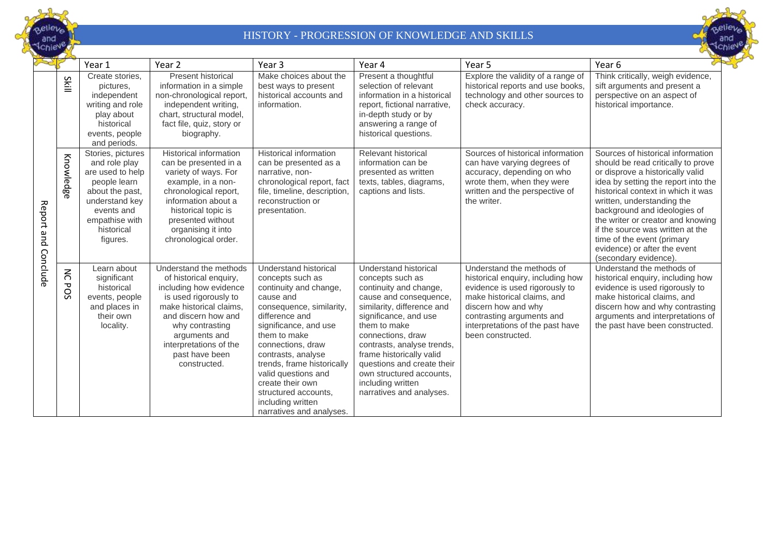



|                        |                    | Year 1                                                                                                                                                                | Year <sub>2</sub>                                                                                                                                                                                                                                     | Year 3                                                                                                                                                                                                                                                                                                                                                               | Year 4                                                                                                                                                                                                                                                                                                                                                         | Year 5                                                                                                                                                                                                                                       | Year 6                                                                                                                                                                                                                                                                                                                                                                                                                 |
|------------------------|--------------------|-----------------------------------------------------------------------------------------------------------------------------------------------------------------------|-------------------------------------------------------------------------------------------------------------------------------------------------------------------------------------------------------------------------------------------------------|----------------------------------------------------------------------------------------------------------------------------------------------------------------------------------------------------------------------------------------------------------------------------------------------------------------------------------------------------------------------|----------------------------------------------------------------------------------------------------------------------------------------------------------------------------------------------------------------------------------------------------------------------------------------------------------------------------------------------------------------|----------------------------------------------------------------------------------------------------------------------------------------------------------------------------------------------------------------------------------------------|------------------------------------------------------------------------------------------------------------------------------------------------------------------------------------------------------------------------------------------------------------------------------------------------------------------------------------------------------------------------------------------------------------------------|
|                        | Skill              | Create stories,<br>pictures,<br>independent<br>writing and role<br>play about<br>historical<br>events, people<br>and periods.                                         | <b>Present historical</b><br>information in a simple<br>non-chronological report,<br>independent writing,<br>chart, structural model,<br>fact file, quiz, story or<br>biography.                                                                      | Make choices about the<br>best ways to present<br>historical accounts and<br>information.                                                                                                                                                                                                                                                                            | Present a thoughtful<br>selection of relevant<br>information in a historical<br>report, fictional narrative,<br>in-depth study or by<br>answering a range of<br>historical questions.                                                                                                                                                                          | Explore the validity of a range of<br>historical reports and use books,<br>technology and other sources to<br>check accuracy.                                                                                                                | Think critically, weigh evidence,<br>sift arguments and present a<br>perspective on an aspect of<br>historical importance.                                                                                                                                                                                                                                                                                             |
| Report and<br>Conclude | Knowledge          | Stories, pictures<br>and role play<br>are used to help<br>people learn<br>about the past.<br>understand key<br>events and<br>empathise with<br>historical<br>figures. | <b>Historical information</b><br>can be presented in a<br>variety of ways. For<br>example, in a non-<br>chronological report,<br>information about a<br>historical topic is<br>presented without<br>organising it into<br>chronological order.        | <b>Historical information</b><br>can be presented as a<br>narrative, non-<br>chronological report, fact<br>file, timeline, description,<br>reconstruction or<br>presentation.                                                                                                                                                                                        | Relevant historical<br>information can be<br>presented as written<br>texts, tables, diagrams,<br>captions and lists.                                                                                                                                                                                                                                           | Sources of historical information<br>can have varying degrees of<br>accuracy, depending on who<br>wrote them, when they were<br>written and the perspective of<br>the writer.                                                                | Sources of historical information<br>should be read critically to prove<br>or disprove a historically valid<br>idea by setting the report into the<br>historical context in which it was<br>written, understanding the<br>background and ideologies of<br>the writer or creator and knowing<br>if the source was written at the<br>time of the event (primary<br>evidence) or after the event<br>(secondary evidence). |
|                        | $\leq$<br>᠊ᢦ<br>SS | Learn about<br>significant<br>historical<br>events, people<br>and places in<br>their own<br>locality.                                                                 | Understand the methods<br>of historical enquiry,<br>including how evidence<br>is used rigorously to<br>make historical claims,<br>and discern how and<br>why contrasting<br>arguments and<br>interpretations of the<br>past have been<br>constructed. | Understand historical<br>concepts such as<br>continuity and change,<br>cause and<br>consequence, similarity,<br>difference and<br>significance, and use<br>them to make<br>connections, draw<br>contrasts, analyse<br>trends, frame historically<br>valid questions and<br>create their own<br>structured accounts,<br>including written<br>narratives and analyses. | Understand historical<br>concepts such as<br>continuity and change,<br>cause and consequence,<br>similarity, difference and<br>significance, and use<br>them to make<br>connections, draw<br>contrasts, analyse trends,<br>frame historically valid<br>questions and create their<br>own structured accounts.<br>including written<br>narratives and analyses. | Understand the methods of<br>historical enquiry, including how<br>evidence is used rigorously to<br>make historical claims, and<br>discern how and why<br>contrasting arguments and<br>interpretations of the past have<br>been constructed. | Understand the methods of<br>historical enquiry, including how<br>evidence is used rigorously to<br>make historical claims, and<br>discern how and why contrasting<br>arguments and interpretations of<br>the past have been constructed.                                                                                                                                                                              |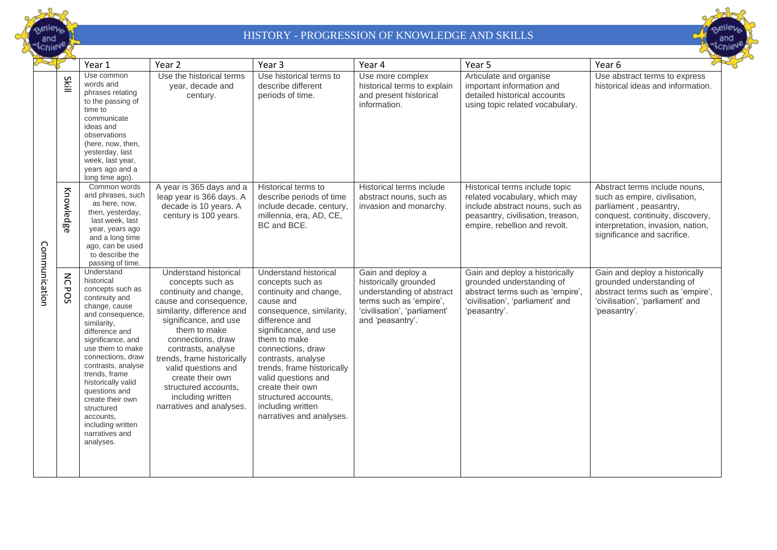



|               |                      | Year 1                                                                                                                                                                                                                                                                                                                                                                              | Year 2                                                                                                                                                                                                                                                                                                                                                            | Year 3                                                                                                                                                                                                                                                                                                                                                               | Year 4                                                                                                                                                 | Year 5                                                                                                                                                                   | Year 6                                                                                                                                                                                           |
|---------------|----------------------|-------------------------------------------------------------------------------------------------------------------------------------------------------------------------------------------------------------------------------------------------------------------------------------------------------------------------------------------------------------------------------------|-------------------------------------------------------------------------------------------------------------------------------------------------------------------------------------------------------------------------------------------------------------------------------------------------------------------------------------------------------------------|----------------------------------------------------------------------------------------------------------------------------------------------------------------------------------------------------------------------------------------------------------------------------------------------------------------------------------------------------------------------|--------------------------------------------------------------------------------------------------------------------------------------------------------|--------------------------------------------------------------------------------------------------------------------------------------------------------------------------|--------------------------------------------------------------------------------------------------------------------------------------------------------------------------------------------------|
| Communication | Skill                | Use common<br>words and<br>phrases relating<br>to the passing of<br>time to<br>communicate<br>ideas and<br>observations<br>(here, now, then,<br>yesterday, last<br>week, last year,<br>years ago and a<br>long time ago).                                                                                                                                                           | Use the historical terms<br>year, decade and<br>century.                                                                                                                                                                                                                                                                                                          | Use historical terms to<br>describe different<br>periods of time.                                                                                                                                                                                                                                                                                                    | Use more complex<br>historical terms to explain<br>and present historical<br>information.                                                              | Articulate and organise<br>important information and<br>detailed historical accounts<br>using topic related vocabulary.                                                  | Use abstract terms to express<br>historical ideas and information.                                                                                                                               |
|               | Knowledg<br>൹        | Common words<br>and phrases, such<br>as here, now,<br>then, yesterday,<br>last week, last<br>year, years ago<br>and a long time<br>ago, can be used<br>to describe the<br>passing of time.                                                                                                                                                                                          | A year is 365 days and a<br>leap year is 366 days. A<br>decade is 10 years. A<br>century is 100 years.                                                                                                                                                                                                                                                            | Historical terms to<br>describe periods of time<br>include decade, century,<br>millennia, era, AD, CE,<br>BC and BCE.                                                                                                                                                                                                                                                | Historical terms include<br>abstract nouns, such as<br>invasion and monarchy.                                                                          | Historical terms include topic<br>related vocabulary, which may<br>include abstract nouns, such as<br>peasantry, civilisation, treason,<br>empire, rebellion and revolt. | Abstract terms include nouns,<br>such as empire, civilisation,<br>parliament, peasantry,<br>conquest, continuity, discovery,<br>interpretation, invasion, nation,<br>significance and sacrifice. |
|               | $\leq$<br><b>POS</b> | Understand<br>historical<br>concepts such as<br>continuity and<br>change, cause<br>and consequence.<br>similarity.<br>difference and<br>significance, and<br>use them to make<br>connections, draw<br>contrasts, analyse<br>trends, frame<br>historically valid<br>questions and<br>create their own<br>structured<br>accounts,<br>including written<br>narratives and<br>analyses. | Understand historical<br>concepts such as<br>continuity and change,<br>cause and consequence,<br>similarity, difference and<br>significance, and use<br>them to make<br>connections, draw<br>contrasts, analyse<br>trends, frame historically<br>valid questions and<br>create their own<br>structured accounts,<br>including written<br>narratives and analyses. | Understand historical<br>concepts such as<br>continuity and change,<br>cause and<br>consequence, similarity,<br>difference and<br>significance, and use<br>them to make<br>connections, draw<br>contrasts, analyse<br>trends, frame historically<br>valid questions and<br>create their own<br>structured accounts,<br>including written<br>narratives and analyses. | Gain and deploy a<br>historically grounded<br>understanding of abstract<br>terms such as 'empire',<br>'civilisation', 'parliament'<br>and 'peasantry'. | Gain and deploy a historically<br>grounded understanding of<br>abstract terms such as 'empire',<br>'civilisation', 'parliament' and<br>'peasantry'.                      | Gain and deploy a historically<br>grounded understanding of<br>abstract terms such as 'empire',<br>'civilisation', 'parliament' and<br>'peasantry'.                                              |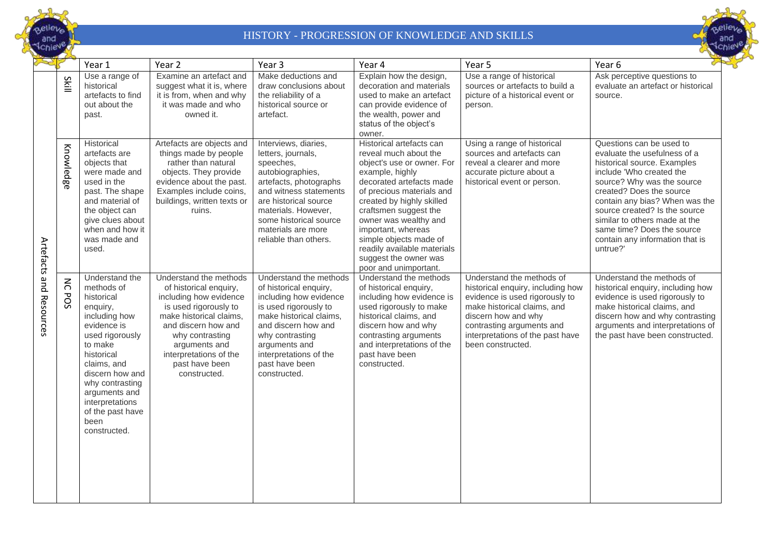



|                         |                   | Year 1                                                                                                                                                                                                                                                                  | Year 2                                                                                                                                                                                                                                                | Year <sub>3</sub>                                                                                                                                                                                                                                        | Year 4                                                                                                                                                                                                                                                                                                                                                                      | Year 5                                                                                                                                                                                                                                       | Year 6                                                                                                                                                                                                                                                                                                                                                         |
|-------------------------|-------------------|-------------------------------------------------------------------------------------------------------------------------------------------------------------------------------------------------------------------------------------------------------------------------|-------------------------------------------------------------------------------------------------------------------------------------------------------------------------------------------------------------------------------------------------------|----------------------------------------------------------------------------------------------------------------------------------------------------------------------------------------------------------------------------------------------------------|-----------------------------------------------------------------------------------------------------------------------------------------------------------------------------------------------------------------------------------------------------------------------------------------------------------------------------------------------------------------------------|----------------------------------------------------------------------------------------------------------------------------------------------------------------------------------------------------------------------------------------------|----------------------------------------------------------------------------------------------------------------------------------------------------------------------------------------------------------------------------------------------------------------------------------------------------------------------------------------------------------------|
|                         | Skill             | Use a range of<br>historical<br>artefacts to find<br>out about the<br>past.                                                                                                                                                                                             | Examine an artefact and<br>suggest what it is, where<br>it is from, when and why<br>it was made and who<br>owned it.                                                                                                                                  | Make deductions and<br>draw conclusions about<br>the reliability of a<br>historical source or<br>artefact.                                                                                                                                               | Explain how the design,<br>decoration and materials<br>used to make an artefact<br>can provide evidence of<br>the wealth, power and<br>status of the object's<br>owner.                                                                                                                                                                                                     | Use a range of historical<br>sources or artefacts to build a<br>picture of a historical event or<br>person.                                                                                                                                  | Ask perceptive questions to<br>evaluate an artefact or historical<br>source.                                                                                                                                                                                                                                                                                   |
| Artefacts and Resources | Knowledge         | Historical<br>artefacts are<br>objects that<br>were made and<br>used in the<br>past. The shape<br>and material of<br>the object can<br>give clues about<br>when and how it<br>was made and<br>used.                                                                     | Artefacts are objects and<br>things made by people<br>rather than natural<br>objects. They provide<br>evidence about the past.<br>Examples include coins,<br>buildings, written texts or<br>ruins.                                                    | Interviews, diaries,<br>letters, journals,<br>speeches,<br>autobiographies,<br>artefacts, photographs<br>and witness statements<br>are historical source<br>materials. However,<br>some historical source<br>materials are more<br>reliable than others. | Historical artefacts can<br>reveal much about the<br>object's use or owner. For<br>example, highly<br>decorated artefacts made<br>of precious materials and<br>created by highly skilled<br>craftsmen suggest the<br>owner was wealthy and<br>important, whereas<br>simple objects made of<br>readily available materials<br>suggest the owner was<br>poor and unimportant. | Using a range of historical<br>sources and artefacts can<br>reveal a clearer and more<br>accurate picture about a<br>historical event or person.                                                                                             | Questions can be used to<br>evaluate the usefulness of a<br>historical source. Examples<br>include 'Who created the<br>source? Why was the source<br>created? Does the source<br>contain any bias? When was the<br>source created? Is the source<br>similar to others made at the<br>same time? Does the source<br>contain any information that is<br>untrue?' |
|                         | $\lesssim$<br>POS | Understand the<br>methods of<br>historical<br>enquiry,<br>including how<br>evidence is<br>used rigorously<br>to make<br>historical<br>claims, and<br>discern how and<br>why contrasting<br>arguments and<br>interpretations<br>of the past have<br>been<br>constructed. | Understand the methods<br>of historical enquiry,<br>including how evidence<br>is used rigorously to<br>make historical claims,<br>and discern how and<br>why contrasting<br>arguments and<br>interpretations of the<br>past have been<br>constructed. | Understand the methods<br>of historical enquiry,<br>including how evidence<br>is used rigorously to<br>make historical claims,<br>and discern how and<br>why contrasting<br>arguments and<br>interpretations of the<br>past have been<br>constructed.    | Understand the methods<br>of historical enquiry,<br>including how evidence is<br>used rigorously to make<br>historical claims, and<br>discern how and why<br>contrasting arguments<br>and interpretations of the<br>past have been<br>constructed.                                                                                                                          | Understand the methods of<br>historical enquiry, including how<br>evidence is used rigorously to<br>make historical claims, and<br>discern how and why<br>contrasting arguments and<br>interpretations of the past have<br>been constructed. | Understand the methods of<br>historical enquiry, including how<br>evidence is used rigorously to<br>make historical claims, and<br>discern how and why contrasting<br>arguments and interpretations of<br>the past have been constructed.                                                                                                                      |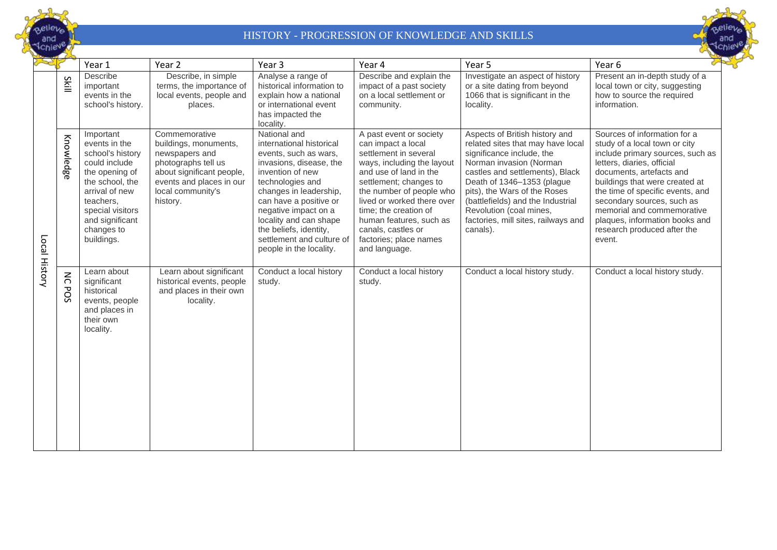



|               |                      | Year 1                                                                                                                                                                                                 | Year 2                                                                                                                                                                    | Year 3                                                                                                                                                                                                                                                                                                                       | Year 4                                                                                                                                                                                                                                                                                                                                  | Year 5                                                                                                                                                                                                                                                                                                                                          | Year 6                                                                                                                                                                                                                                                                                                                                                                   |
|---------------|----------------------|--------------------------------------------------------------------------------------------------------------------------------------------------------------------------------------------------------|---------------------------------------------------------------------------------------------------------------------------------------------------------------------------|------------------------------------------------------------------------------------------------------------------------------------------------------------------------------------------------------------------------------------------------------------------------------------------------------------------------------|-----------------------------------------------------------------------------------------------------------------------------------------------------------------------------------------------------------------------------------------------------------------------------------------------------------------------------------------|-------------------------------------------------------------------------------------------------------------------------------------------------------------------------------------------------------------------------------------------------------------------------------------------------------------------------------------------------|--------------------------------------------------------------------------------------------------------------------------------------------------------------------------------------------------------------------------------------------------------------------------------------------------------------------------------------------------------------------------|
| Local History | Skill                | Describe<br>important<br>events in the<br>school's history.                                                                                                                                            | Describe, in simple<br>terms, the importance of<br>local events, people and<br>places.                                                                                    | Analyse a range of<br>historical information to<br>explain how a national<br>or international event<br>has impacted the<br>locality.                                                                                                                                                                                         | Describe and explain the<br>impact of a past society<br>on a local settlement or<br>community.                                                                                                                                                                                                                                          | Investigate an aspect of history<br>or a site dating from beyond<br>1066 that is significant in the<br>locality.                                                                                                                                                                                                                                | Present an in-depth study of a<br>local town or city, suggesting<br>how to source the required<br>information.                                                                                                                                                                                                                                                           |
|               | Knowledge            | Important<br>events in the<br>school's history<br>could include<br>the opening of<br>the school, the<br>arrival of new<br>teachers.<br>special visitors<br>and significant<br>changes to<br>buildings. | Commemorative<br>buildings, monuments,<br>newspapers and<br>photographs tell us<br>about significant people,<br>events and places in our<br>local community's<br>history. | National and<br>international historical<br>events, such as wars,<br>invasions, disease, the<br>invention of new<br>technologies and<br>changes in leadership,<br>can have a positive or<br>negative impact on a<br>locality and can shape<br>the beliefs, identity,<br>settlement and culture of<br>people in the locality. | A past event or society<br>can impact a local<br>settlement in several<br>ways, including the layout<br>and use of land in the<br>settlement; changes to<br>the number of people who<br>lived or worked there over<br>time; the creation of<br>human features, such as<br>canals, castles or<br>factories; place names<br>and language. | Aspects of British history and<br>related sites that may have local<br>significance include, the<br>Norman invasion (Norman<br>castles and settlements), Black<br>Death of 1346-1353 (plague<br>pits), the Wars of the Roses<br>(battlefields) and the Industrial<br>Revolution (coal mines,<br>factories, mill sites, railways and<br>canals). | Sources of information for a<br>study of a local town or city<br>include primary sources, such as<br>letters, diaries, official<br>documents, artefacts and<br>buildings that were created at<br>the time of specific events, and<br>secondary sources, such as<br>memorial and commemorative<br>plaques, information books and<br>research produced after the<br>event. |
|               | $\leq$<br><b>POS</b> | Learn about<br>significant<br>historical<br>events, people<br>and places in<br>their own<br>locality.                                                                                                  | Learn about significant<br>historical events, people<br>and places in their own<br>locality.                                                                              | Conduct a local history<br>study.                                                                                                                                                                                                                                                                                            | Conduct a local history<br>study.                                                                                                                                                                                                                                                                                                       | Conduct a local history study.                                                                                                                                                                                                                                                                                                                  | Conduct a local history study.                                                                                                                                                                                                                                                                                                                                           |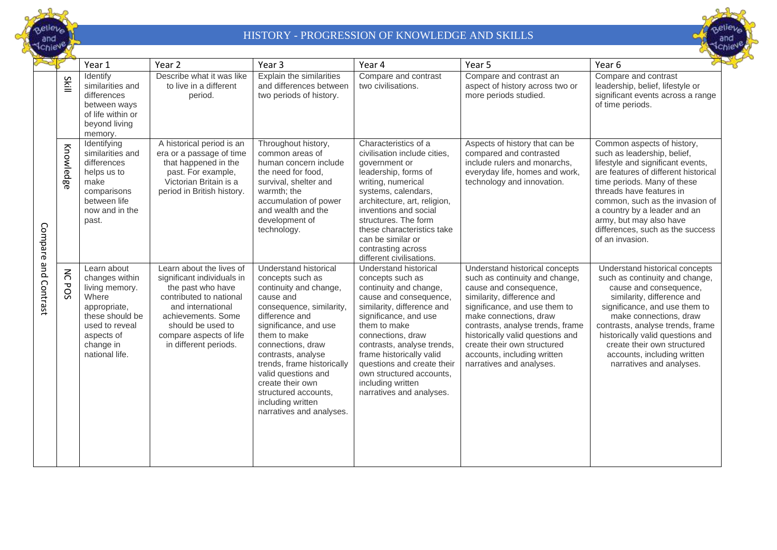



|                 |                      | Year 1                                                                                                                                                     | Year <sub>2</sub>                                                                                                                                                                                                          | Year 3                                                                                                                                                                                                                                                                                                                                                               | Year 4                                                                                                                                                                                                                                                                                                                                                         | Year 5                                                                                                                                                                                                                                                                                                                                                | Year 6                                                                                                                                                                                                                                                                                                                                                 |
|-----------------|----------------------|------------------------------------------------------------------------------------------------------------------------------------------------------------|----------------------------------------------------------------------------------------------------------------------------------------------------------------------------------------------------------------------------|----------------------------------------------------------------------------------------------------------------------------------------------------------------------------------------------------------------------------------------------------------------------------------------------------------------------------------------------------------------------|----------------------------------------------------------------------------------------------------------------------------------------------------------------------------------------------------------------------------------------------------------------------------------------------------------------------------------------------------------------|-------------------------------------------------------------------------------------------------------------------------------------------------------------------------------------------------------------------------------------------------------------------------------------------------------------------------------------------------------|--------------------------------------------------------------------------------------------------------------------------------------------------------------------------------------------------------------------------------------------------------------------------------------------------------------------------------------------------------|
|                 | Skill                | Identify<br>similarities and<br>differences<br>between ways<br>of life within or<br>beyond living<br>memory.                                               | Describe what it was like<br>to live in a different<br>period.                                                                                                                                                             | Explain the similarities<br>and differences between<br>two periods of history.                                                                                                                                                                                                                                                                                       | Compare and contrast<br>two civilisations.                                                                                                                                                                                                                                                                                                                     | Compare and contrast an<br>aspect of history across two or<br>more periods studied.                                                                                                                                                                                                                                                                   | Compare and contrast<br>leadership, belief, lifestyle or<br>significant events across a range<br>of time periods.                                                                                                                                                                                                                                      |
| Compare         | Knowledge            | Identifying<br>similarities and<br>differences<br>helps us to<br>make<br>comparisons<br>between life<br>now and in the<br>past.                            | A historical period is an<br>era or a passage of time<br>that happened in the<br>past. For example,<br>Victorian Britain is a<br>period in British history.                                                                | Throughout history,<br>common areas of<br>human concern include<br>the need for food.<br>survival, shelter and<br>warmth; the<br>accumulation of power<br>and wealth and the<br>development of<br>technology.                                                                                                                                                        | Characteristics of a<br>civilisation include cities,<br>government or<br>leadership, forms of<br>writing, numerical<br>systems, calendars,<br>architecture, art, religion,<br>inventions and social<br>structures. The form<br>these characteristics take<br>can be similar or<br>contrasting across<br>different civilisations.                               | Aspects of history that can be<br>compared and contrasted<br>include rulers and monarchs,<br>everyday life, homes and work,<br>technology and innovation.                                                                                                                                                                                             | Common aspects of history,<br>such as leadership, belief,<br>lifestyle and significant events,<br>are features of different historical<br>time periods. Many of these<br>threads have features in<br>common, such as the invasion of<br>a country by a leader and an<br>army, but may also have<br>differences, such as the success<br>of an invasion. |
| pue<br>Contrast | $\leq$<br><b>POS</b> | Learn about<br>changes within<br>living memory.<br>Where<br>appropriate,<br>these should be<br>used to reveal<br>aspects of<br>change in<br>national life. | Learn about the lives of<br>significant individuals in<br>the past who have<br>contributed to national<br>and international<br>achievements, Some<br>should be used to<br>compare aspects of life<br>in different periods. | Understand historical<br>concepts such as<br>continuity and change,<br>cause and<br>consequence, similarity,<br>difference and<br>significance, and use<br>them to make<br>connections, draw<br>contrasts, analyse<br>trends, frame historically<br>valid questions and<br>create their own<br>structured accounts,<br>including written<br>narratives and analyses. | Understand historical<br>concepts such as<br>continuity and change,<br>cause and consequence,<br>similarity, difference and<br>significance, and use<br>them to make<br>connections, draw<br>contrasts, analyse trends,<br>frame historically valid<br>questions and create their<br>own structured accounts,<br>including written<br>narratives and analyses. | Understand historical concepts<br>such as continuity and change,<br>cause and consequence,<br>similarity, difference and<br>significance, and use them to<br>make connections, draw<br>contrasts, analyse trends, frame<br>historically valid questions and<br>create their own structured<br>accounts, including written<br>narratives and analyses. | Understand historical concepts<br>such as continuity and change,<br>cause and consequence,<br>similarity, difference and<br>significance, and use them to<br>make connections, draw<br>contrasts, analyse trends, frame<br>historically valid questions and<br>create their own structured<br>accounts, including written<br>narratives and analyses.  |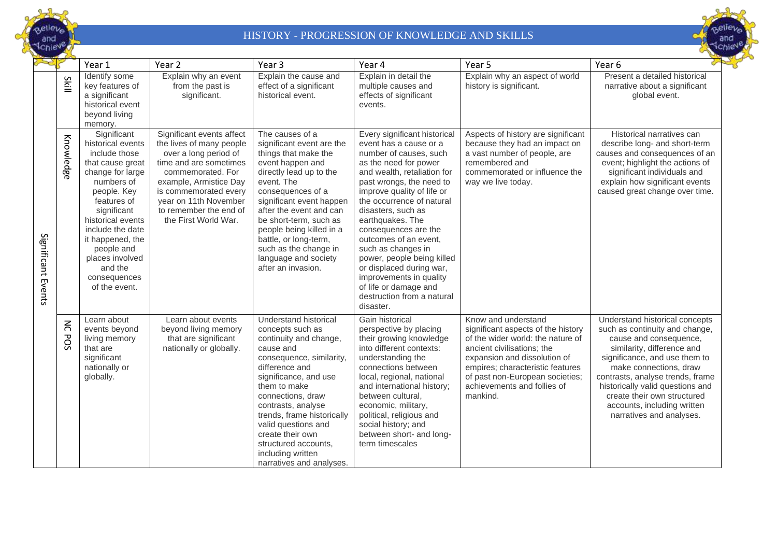



|                    |                      | Year 1                                                                                                                                                                                                                                                                                         | Year <sub>2</sub>                                                                                                                                                                                                                                           | Year <sub>3</sub>                                                                                                                                                                                                                                                                                                                                                           | Year 4                                                                                                                                                                                                                                                                                                                                                                                                                                                                                                    | Year <sub>5</sub>                                                                                                                                                                                                                                                              | Year 6                                                                                                                                                                                                                                                                                                                                                |
|--------------------|----------------------|------------------------------------------------------------------------------------------------------------------------------------------------------------------------------------------------------------------------------------------------------------------------------------------------|-------------------------------------------------------------------------------------------------------------------------------------------------------------------------------------------------------------------------------------------------------------|-----------------------------------------------------------------------------------------------------------------------------------------------------------------------------------------------------------------------------------------------------------------------------------------------------------------------------------------------------------------------------|-----------------------------------------------------------------------------------------------------------------------------------------------------------------------------------------------------------------------------------------------------------------------------------------------------------------------------------------------------------------------------------------------------------------------------------------------------------------------------------------------------------|--------------------------------------------------------------------------------------------------------------------------------------------------------------------------------------------------------------------------------------------------------------------------------|-------------------------------------------------------------------------------------------------------------------------------------------------------------------------------------------------------------------------------------------------------------------------------------------------------------------------------------------------------|
|                    | Skill                | Identify some<br>key features of<br>a significant<br>historical event<br>beyond living<br>memory.                                                                                                                                                                                              | Explain why an event<br>from the past is<br>significant.                                                                                                                                                                                                    | Explain the cause and<br>effect of a significant<br>historical event.                                                                                                                                                                                                                                                                                                       | Explain in detail the<br>multiple causes and<br>effects of significant<br>events.                                                                                                                                                                                                                                                                                                                                                                                                                         | Explain why an aspect of world<br>history is significant.                                                                                                                                                                                                                      | Present a detailed historical<br>narrative about a significant<br>global event.                                                                                                                                                                                                                                                                       |
| Significant Events | Knowledge            | Significant<br>historical events<br>include those<br>that cause great<br>change for large<br>numbers of<br>people. Key<br>features of<br>significant<br>historical events<br>include the date<br>it happened, the<br>people and<br>places involved<br>and the<br>consequences<br>of the event. | Significant events affect<br>the lives of many people<br>over a long period of<br>time and are sometimes<br>commemorated. For<br>example, Armistice Day<br>is commemorated every<br>year on 11th November<br>to remember the end of<br>the First World War. | The causes of a<br>significant event are the<br>things that make the<br>event happen and<br>directly lead up to the<br>event. The<br>consequences of a<br>significant event happen<br>after the event and can<br>be short-term, such as<br>people being killed in a<br>battle, or long-term,<br>such as the change in<br>language and society<br>after an invasion.         | Every significant historical<br>event has a cause or a<br>number of causes, such<br>as the need for power<br>and wealth, retaliation for<br>past wrongs, the need to<br>improve quality of life or<br>the occurrence of natural<br>disasters, such as<br>earthquakes. The<br>consequences are the<br>outcomes of an event,<br>such as changes in<br>power, people being killed<br>or displaced during war,<br>improvements in quality<br>of life or damage and<br>destruction from a natural<br>disaster. | Aspects of history are significant<br>because they had an impact on<br>a vast number of people, are<br>remembered and<br>commemorated or influence the<br>way we live today.                                                                                                   | Historical narratives can<br>describe long- and short-term<br>causes and consequences of an<br>event; highlight the actions of<br>significant individuals and<br>explain how significant events<br>caused great change over time.                                                                                                                     |
|                    | $\leq$<br><b>POS</b> | Learn about<br>events beyond<br>living memory<br>that are<br>significant<br>nationally or<br>globally.                                                                                                                                                                                         | Learn about events<br>beyond living memory<br>that are significant<br>nationally or globally.                                                                                                                                                               | <b>Understand historical</b><br>concepts such as<br>continuity and change,<br>cause and<br>consequence, similarity,<br>difference and<br>significance, and use<br>them to make<br>connections, draw<br>contrasts, analyse<br>trends, frame historically<br>valid questions and<br>create their own<br>structured accounts,<br>including written<br>narratives and analyses. | Gain historical<br>perspective by placing<br>their growing knowledge<br>into different contexts:<br>understanding the<br>connections between<br>local, regional, national<br>and international history;<br>between cultural,<br>economic, military,<br>political, religious and<br>social history; and<br>between short- and long-<br>term timescales                                                                                                                                                     | Know and understand<br>significant aspects of the history<br>of the wider world: the nature of<br>ancient civilisations; the<br>expansion and dissolution of<br>empires; characteristic features<br>of past non-European societies;<br>achievements and follies of<br>mankind. | Understand historical concepts<br>such as continuity and change,<br>cause and consequence,<br>similarity, difference and<br>significance, and use them to<br>make connections, draw<br>contrasts, analyse trends, frame<br>historically valid questions and<br>create their own structured<br>accounts, including written<br>narratives and analyses. |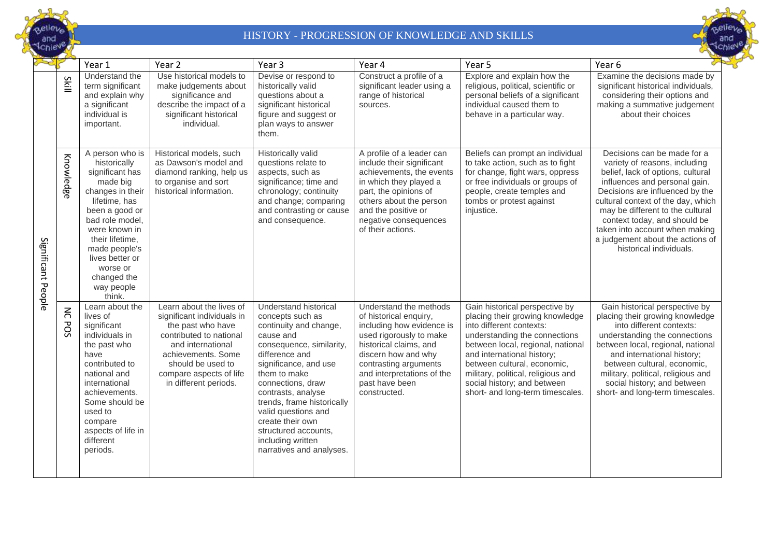



|                    |                          | Year 1                                                                                                                                                                                                                                                              | Year <sub>2</sub>                                                                                                                                                                                                          | Year <sub>3</sub>                                                                                                                                                                                                                                                                                                                                                    | Year 4                                                                                                                                                                                                                                             | Year 5                                                                                                                                                                                                                                                                                                                                    | Year 6                                                                                                                                                                                                                                                                                                                                                                           |
|--------------------|--------------------------|---------------------------------------------------------------------------------------------------------------------------------------------------------------------------------------------------------------------------------------------------------------------|----------------------------------------------------------------------------------------------------------------------------------------------------------------------------------------------------------------------------|----------------------------------------------------------------------------------------------------------------------------------------------------------------------------------------------------------------------------------------------------------------------------------------------------------------------------------------------------------------------|----------------------------------------------------------------------------------------------------------------------------------------------------------------------------------------------------------------------------------------------------|-------------------------------------------------------------------------------------------------------------------------------------------------------------------------------------------------------------------------------------------------------------------------------------------------------------------------------------------|----------------------------------------------------------------------------------------------------------------------------------------------------------------------------------------------------------------------------------------------------------------------------------------------------------------------------------------------------------------------------------|
|                    | Skill                    | Understand the<br>term significant<br>and explain why<br>a significant<br>individual is<br>important.                                                                                                                                                               | Use historical models to<br>make judgements about<br>significance and<br>describe the impact of a<br>significant historical<br>individual.                                                                                 | Devise or respond to<br>historically valid<br>questions about a<br>significant historical<br>figure and suggest or<br>plan ways to answer<br>them.                                                                                                                                                                                                                   | Construct a profile of a<br>significant leader using a<br>range of historical<br>sources.                                                                                                                                                          | Explore and explain how the<br>religious, political, scientific or<br>personal beliefs of a significant<br>individual caused them to<br>behave in a particular way.                                                                                                                                                                       | Examine the decisions made by<br>significant historical individuals,<br>considering their options and<br>making a summative judgement<br>about their choices                                                                                                                                                                                                                     |
| Significant People | Knowledge                | A person who is<br>historically<br>significant has<br>made big<br>changes in their<br>lifetime, has<br>been a good or<br>bad role model,<br>were known in<br>their lifetime.<br>made people's<br>lives better or<br>worse or<br>changed the<br>way people<br>think. | Historical models, such<br>as Dawson's model and<br>diamond ranking, help us<br>to organise and sort<br>historical information.                                                                                            | <b>Historically valid</b><br>questions relate to<br>aspects, such as<br>significance; time and<br>chronology; continuity<br>and change; comparing<br>and contrasting or cause<br>and consequence.                                                                                                                                                                    | A profile of a leader can<br>include their significant<br>achievements, the events<br>in which they played a<br>part, the opinions of<br>others about the person<br>and the positive or<br>negative consequences<br>of their actions.              | Beliefs can prompt an individual<br>to take action, such as to fight<br>for change, fight wars, oppress<br>or free individuals or groups of<br>people, create temples and<br>tombs or protest against<br>injustice.                                                                                                                       | Decisions can be made for a<br>variety of reasons, including<br>belief, lack of options, cultural<br>influences and personal gain.<br>Decisions are influenced by the<br>cultural context of the day, which<br>may be different to the cultural<br>context today, and should be<br>taken into account when making<br>a judgement about the actions of<br>historical individuals. |
|                    | $\lesssim$<br><b>POS</b> | Learn about the<br>lives of<br>significant<br>individuals in<br>the past who<br>have<br>contributed to<br>national and<br>international<br>achievements.<br>Some should be<br>used to<br>compare<br>aspects of life in<br>different<br>periods.                     | Learn about the lives of<br>significant individuals in<br>the past who have<br>contributed to national<br>and international<br>achievements. Some<br>should be used to<br>compare aspects of life<br>in different periods. | Understand historical<br>concepts such as<br>continuity and change,<br>cause and<br>consequence, similarity,<br>difference and<br>significance, and use<br>them to make<br>connections, draw<br>contrasts, analyse<br>trends, frame historically<br>valid questions and<br>create their own<br>structured accounts,<br>including written<br>narratives and analyses. | Understand the methods<br>of historical enquiry,<br>including how evidence is<br>used rigorously to make<br>historical claims, and<br>discern how and why<br>contrasting arguments<br>and interpretations of the<br>past have been<br>constructed. | Gain historical perspective by<br>placing their growing knowledge<br>into different contexts:<br>understanding the connections<br>between local, regional, national<br>and international history;<br>between cultural, economic,<br>military, political, religious and<br>social history; and between<br>short- and long-term timescales. | Gain historical perspective by<br>placing their growing knowledge<br>into different contexts:<br>understanding the connections<br>between local, regional, national<br>and international history;<br>between cultural, economic,<br>military, political, religious and<br>social history; and between<br>short- and long-term timescales.                                        |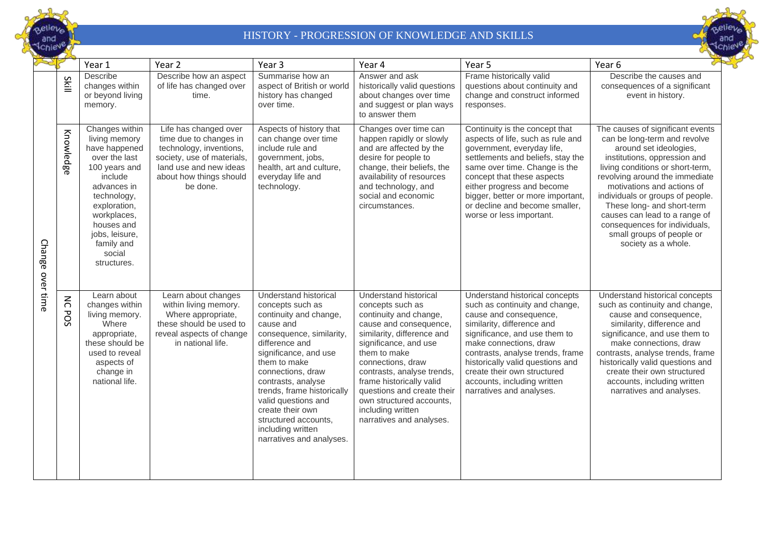



|               |                      | Year 1                                                                                                                                                                                                                            | Year 2                                                                                                                                                                    | Year 3                                                                                                                                                                                                                                                                                                                                                               | Year 4                                                                                                                                                                                                                                                                                                                                                         | Year 5                                                                                                                                                                                                                                                                                                                                                | Year 6                                                                                                                                                                                                                                                                                                                                                                                                                 |
|---------------|----------------------|-----------------------------------------------------------------------------------------------------------------------------------------------------------------------------------------------------------------------------------|---------------------------------------------------------------------------------------------------------------------------------------------------------------------------|----------------------------------------------------------------------------------------------------------------------------------------------------------------------------------------------------------------------------------------------------------------------------------------------------------------------------------------------------------------------|----------------------------------------------------------------------------------------------------------------------------------------------------------------------------------------------------------------------------------------------------------------------------------------------------------------------------------------------------------------|-------------------------------------------------------------------------------------------------------------------------------------------------------------------------------------------------------------------------------------------------------------------------------------------------------------------------------------------------------|------------------------------------------------------------------------------------------------------------------------------------------------------------------------------------------------------------------------------------------------------------------------------------------------------------------------------------------------------------------------------------------------------------------------|
|               | S<br>흘               | <b>Describe</b><br>changes within<br>or beyond living<br>memory.                                                                                                                                                                  | Describe how an aspect<br>of life has changed over<br>time.                                                                                                               | Summarise how an<br>aspect of British or world<br>history has changed<br>over time.                                                                                                                                                                                                                                                                                  | Answer and ask<br>historically valid questions<br>about changes over time<br>and suggest or plan ways<br>to answer them                                                                                                                                                                                                                                        | Frame historically valid<br>questions about continuity and<br>change and construct informed<br>responses.                                                                                                                                                                                                                                             | Describe the causes and<br>consequences of a significant<br>event in history.                                                                                                                                                                                                                                                                                                                                          |
| <b>Change</b> | Knowledge            | Changes within<br>living memory<br>have happened<br>over the last<br>100 years and<br>include<br>advances in<br>technology,<br>exploration,<br>workplaces,<br>houses and<br>jobs, leisure,<br>family and<br>social<br>structures. | Life has changed over<br>time due to changes in<br>technology, inventions,<br>society, use of materials,<br>land use and new ideas<br>about how things should<br>be done. | Aspects of history that<br>can change over time<br>include rule and<br>government, jobs,<br>health, art and culture,<br>everyday life and<br>technology.                                                                                                                                                                                                             | Changes over time can<br>happen rapidly or slowly<br>and are affected by the<br>desire for people to<br>change, their beliefs, the<br>availability of resources<br>and technology, and<br>social and economic<br>circumstances.                                                                                                                                | Continuity is the concept that<br>aspects of life, such as rule and<br>government, everyday life,<br>settlements and beliefs, stay the<br>same over time. Change is the<br>concept that these aspects<br>either progress and become<br>bigger, better or more important,<br>or decline and become smaller,<br>worse or less important.                | The causes of significant events<br>can be long-term and revolve<br>around set ideologies,<br>institutions, oppression and<br>living conditions or short-term,<br>revolving around the immediate<br>motivations and actions of<br>individuals or groups of people.<br>These long- and short-term<br>causes can lead to a range of<br>consequences for individuals,<br>small groups of people or<br>society as a whole. |
| over time     | $\leq$<br><b>POS</b> | Learn about<br>changes within<br>living memory.<br>Where<br>appropriate,<br>these should be<br>used to reveal<br>aspects of<br>change in<br>national life.                                                                        | Learn about changes<br>within living memory.<br>Where appropriate,<br>these should be used to<br>reveal aspects of change<br>in national life.                            | Understand historical<br>concepts such as<br>continuity and change,<br>cause and<br>consequence, similarity,<br>difference and<br>significance, and use<br>them to make<br>connections, draw<br>contrasts, analyse<br>trends, frame historically<br>valid questions and<br>create their own<br>structured accounts,<br>including written<br>narratives and analyses. | Understand historical<br>concepts such as<br>continuity and change,<br>cause and consequence,<br>similarity, difference and<br>significance, and use<br>them to make<br>connections, draw<br>contrasts, analyse trends,<br>frame historically valid<br>questions and create their<br>own structured accounts,<br>including written<br>narratives and analyses. | Understand historical concepts<br>such as continuity and change,<br>cause and consequence,<br>similarity, difference and<br>significance, and use them to<br>make connections, draw<br>contrasts, analyse trends, frame<br>historically valid questions and<br>create their own structured<br>accounts, including written<br>narratives and analyses. | Understand historical concepts<br>such as continuity and change,<br>cause and consequence,<br>similarity, difference and<br>significance, and use them to<br>make connections, draw<br>contrasts, analyse trends, frame<br>historically valid questions and<br>create their own structured<br>accounts, including written<br>narratives and analyses.                                                                  |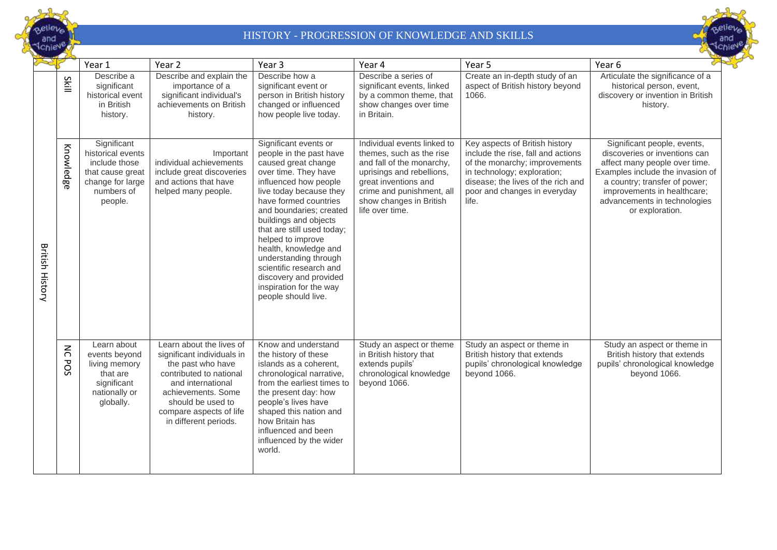



|                        |                      | Year 1                                                                                                             | Year 2                                                                                                                                                                                                                     | Year <sub>3</sub>                                                                                                                                                                                                                                                                                                                                                                                                                            | Year 4                                                                                                                                                                                                               | Year 5                                                                                                                                                                                                              | Year 6                                                                                                                                                                                                                                               |
|------------------------|----------------------|--------------------------------------------------------------------------------------------------------------------|----------------------------------------------------------------------------------------------------------------------------------------------------------------------------------------------------------------------------|----------------------------------------------------------------------------------------------------------------------------------------------------------------------------------------------------------------------------------------------------------------------------------------------------------------------------------------------------------------------------------------------------------------------------------------------|----------------------------------------------------------------------------------------------------------------------------------------------------------------------------------------------------------------------|---------------------------------------------------------------------------------------------------------------------------------------------------------------------------------------------------------------------|------------------------------------------------------------------------------------------------------------------------------------------------------------------------------------------------------------------------------------------------------|
|                        | <b>Skill</b>         | Describe a<br>significant<br>historical event<br>in British<br>history.                                            | Describe and explain the<br>importance of a<br>significant individual's<br>achievements on British<br>history.                                                                                                             | Describe how a<br>significant event or<br>person in British history<br>changed or influenced<br>how people live today.                                                                                                                                                                                                                                                                                                                       | Describe a series of<br>significant events, linked<br>by a common theme, that<br>show changes over time<br>in Britain.                                                                                               | Create an in-depth study of an<br>aspect of British history beyond<br>1066.                                                                                                                                         | Articulate the significance of a<br>historical person, event,<br>discovery or invention in British<br>history.                                                                                                                                       |
| <b>British History</b> | Knowledge            | Significant<br>historical events<br>include those<br>that cause great<br>change for large<br>numbers of<br>people. | Important<br>individual achievements<br>include great discoveries<br>and actions that have<br>helped many people.                                                                                                          | Significant events or<br>people in the past have<br>caused great change<br>over time. They have<br>influenced how people<br>live today because they<br>have formed countries<br>and boundaries; created<br>buildings and objects<br>that are still used today;<br>helped to improve<br>health, knowledge and<br>understanding through<br>scientific research and<br>discovery and provided<br>inspiration for the way<br>people should live. | Individual events linked to<br>themes, such as the rise<br>and fall of the monarchy,<br>uprisings and rebellions,<br>great inventions and<br>crime and punishment, all<br>show changes in British<br>life over time. | Key aspects of British history<br>include the rise, fall and actions<br>of the monarchy; improvements<br>in technology; exploration;<br>disease; the lives of the rich and<br>poor and changes in everyday<br>life. | Significant people, events,<br>discoveries or inventions can<br>affect many people over time.<br>Examples include the invasion of<br>a country; transfer of power;<br>improvements in healthcare;<br>advancements in technologies<br>or exploration. |
|                        | $\leq$<br><b>POS</b> | Learn about<br>events beyond<br>living memory<br>that are<br>significant<br>nationally or<br>globally.             | Learn about the lives of<br>significant individuals in<br>the past who have<br>contributed to national<br>and international<br>achievements. Some<br>should be used to<br>compare aspects of life<br>in different periods. | Know and understand<br>the history of these<br>islands as a coherent,<br>chronological narrative,<br>from the earliest times to<br>the present day: how<br>people's lives have<br>shaped this nation and<br>how Britain has<br>influenced and been<br>influenced by the wider<br>world.                                                                                                                                                      | Study an aspect or theme<br>in British history that<br>extends pupils'<br>chronological knowledge<br>beyond 1066.                                                                                                    | Study an aspect or theme in<br>British history that extends<br>pupils' chronological knowledge<br>beyond 1066.                                                                                                      | Study an aspect or theme in<br>British history that extends<br>pupils' chronological knowledge<br>beyond 1066.                                                                                                                                       |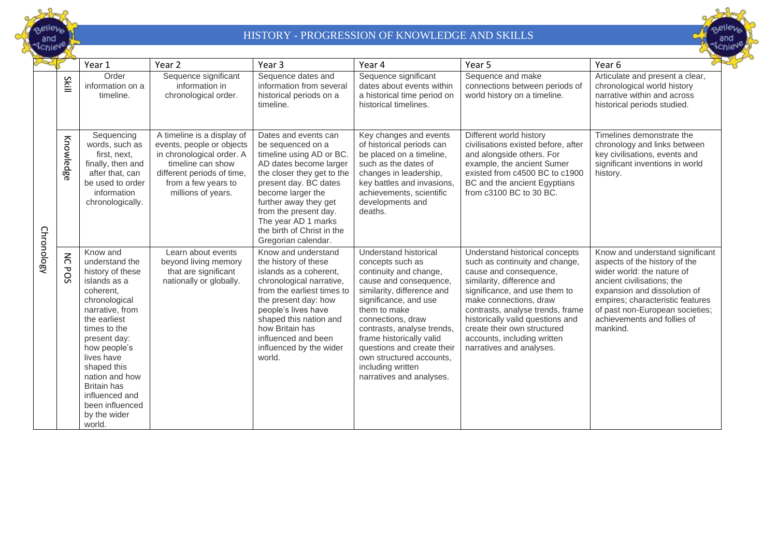



|            |                             | Year 1                                                                                                                                                                                                                                                                                                              | Year <sub>2</sub>                                                                                                                                                                    | Year <sub>3</sub>                                                                                                                                                                                                                                                                                         | Year 4                                                                                                                                                                                                                                                                                                                                                         | Year 5                                                                                                                                                                                                                                                                                                                                                       | Year <sub>6</sub>                                                                                                                                                                                                                                                              |
|------------|-----------------------------|---------------------------------------------------------------------------------------------------------------------------------------------------------------------------------------------------------------------------------------------------------------------------------------------------------------------|--------------------------------------------------------------------------------------------------------------------------------------------------------------------------------------|-----------------------------------------------------------------------------------------------------------------------------------------------------------------------------------------------------------------------------------------------------------------------------------------------------------|----------------------------------------------------------------------------------------------------------------------------------------------------------------------------------------------------------------------------------------------------------------------------------------------------------------------------------------------------------------|--------------------------------------------------------------------------------------------------------------------------------------------------------------------------------------------------------------------------------------------------------------------------------------------------------------------------------------------------------------|--------------------------------------------------------------------------------------------------------------------------------------------------------------------------------------------------------------------------------------------------------------------------------|
|            | Skill                       | Order<br>information on a<br>timeline.                                                                                                                                                                                                                                                                              | Sequence significant<br>information in<br>chronological order.                                                                                                                       | Sequence dates and<br>information from several<br>historical periods on a<br>timeline.                                                                                                                                                                                                                    | Sequence significant<br>dates about events within<br>a historical time period on<br>historical timelines.                                                                                                                                                                                                                                                      | Sequence and make<br>connections between periods of<br>world history on a timeline.                                                                                                                                                                                                                                                                          | Articulate and present a clear,<br>chronological world history<br>narrative within and across<br>historical periods studied.                                                                                                                                                   |
|            | Knowledge                   | Sequencing<br>words, such as<br>first, next,<br>finally, then and<br>after that, can<br>be used to order<br>information<br>chronologically.                                                                                                                                                                         | A timeline is a display of<br>events, people or objects<br>in chronological order. A<br>timeline can show<br>different periods of time,<br>from a few years to<br>millions of years. | Dates and events can<br>be sequenced on a<br>timeline using AD or BC.<br>AD dates become larger<br>the closer they get to the<br>present day. BC dates<br>become larger the<br>further away they get<br>from the present day.<br>The year AD 1 marks<br>the birth of Christ in the<br>Gregorian calendar. | Key changes and events<br>of historical periods can<br>be placed on a timeline,<br>such as the dates of<br>changes in leadership,<br>key battles and invasions,<br>achievements, scientific<br>developments and<br>deaths.                                                                                                                                     | Different world history<br>civilisations existed before, after<br>and alongside others. For<br>example, the ancient Sumer<br>existed from c4500 BC to c1900<br>BC and the ancient Egyptians<br>from c3100 BC to 30 BC.                                                                                                                                       | Timelines demonstrate the<br>chronology and links between<br>key civilisations, events and<br>significant inventions in world<br>history.                                                                                                                                      |
| Chronology | $\overline{5}$<br><b>PO</b> | Know and<br>understand the<br>history of these<br>islands as a<br>coherent,<br>chronological<br>narrative, from<br>the earliest<br>times to the<br>present day:<br>how people's<br>lives have<br>shaped this<br>nation and how<br><b>Britain</b> has<br>influenced and<br>been influenced<br>by the wider<br>world. | Learn about events<br>beyond living memory<br>that are significant<br>nationally or globally.                                                                                        | Know and understand<br>the history of these<br>islands as a coherent,<br>chronological narrative,<br>from the earliest times to<br>the present day: how<br>people's lives have<br>shaped this nation and<br>how Britain has<br>influenced and been<br>influenced by the wider<br>world.                   | Understand historical<br>concepts such as<br>continuity and change,<br>cause and consequence,<br>similarity, difference and<br>significance, and use<br>them to make<br>connections, draw<br>contrasts, analyse trends,<br>frame historically valid<br>questions and create their<br>own structured accounts,<br>including written<br>narratives and analyses. | <b>Understand historical concepts</b><br>such as continuity and change,<br>cause and consequence,<br>similarity, difference and<br>significance, and use them to<br>make connections, draw<br>contrasts, analyse trends, frame<br>historically valid questions and<br>create their own structured<br>accounts, including written<br>narratives and analyses. | Know and understand significant<br>aspects of the history of the<br>wider world: the nature of<br>ancient civilisations: the<br>expansion and dissolution of<br>empires; characteristic features<br>of past non-European societies;<br>achievements and follies of<br>mankind. |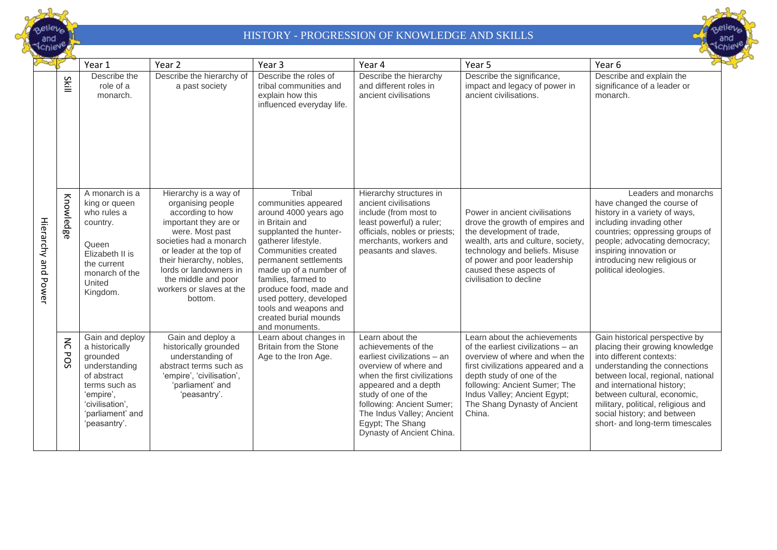



|                     |                                             | Year 1                                                                                                                                                             | Year <sub>2</sub>                                                                                                                                                                                                                                                                    | Year <sub>3</sub>                                                                                                                                                                                                                                                                                                                                    | Year 4                                                                                                                                                                                                                                                                                   | Year 5                                                                                                                                                                                                                                                                             | Year 6                                                                                                                                                                                                                                                                                                                                   |
|---------------------|---------------------------------------------|--------------------------------------------------------------------------------------------------------------------------------------------------------------------|--------------------------------------------------------------------------------------------------------------------------------------------------------------------------------------------------------------------------------------------------------------------------------------|------------------------------------------------------------------------------------------------------------------------------------------------------------------------------------------------------------------------------------------------------------------------------------------------------------------------------------------------------|------------------------------------------------------------------------------------------------------------------------------------------------------------------------------------------------------------------------------------------------------------------------------------------|------------------------------------------------------------------------------------------------------------------------------------------------------------------------------------------------------------------------------------------------------------------------------------|------------------------------------------------------------------------------------------------------------------------------------------------------------------------------------------------------------------------------------------------------------------------------------------------------------------------------------------|
|                     | Skill                                       | Describe the<br>role of a<br>monarch.                                                                                                                              | Describe the hierarchy of<br>a past society                                                                                                                                                                                                                                          | Describe the roles of<br>tribal communities and<br>explain how this<br>influenced everyday life.                                                                                                                                                                                                                                                     | Describe the hierarchy<br>and different roles in<br>ancient civilisations                                                                                                                                                                                                                | Describe the significance,<br>impact and legacy of power in<br>ancient civilisations.                                                                                                                                                                                              | Describe and explain the<br>significance of a leader or<br>monarch.                                                                                                                                                                                                                                                                      |
| Hierarchy and Power | Knowledge                                   | A monarch is a<br>king or queen<br>who rules a<br>country.<br>Queen<br>Elizabeth II is<br>the current<br>monarch of the<br>United<br>Kingdom.                      | Hierarchy is a way of<br>organising people<br>according to how<br>important they are or<br>were. Most past<br>societies had a monarch<br>or leader at the top of<br>their hierarchy, nobles,<br>lords or landowners in<br>the middle and poor<br>workers or slaves at the<br>bottom. | Tribal<br>communities appeared<br>around 4000 years ago<br>in Britain and<br>supplanted the hunter-<br>gatherer lifestyle.<br>Communities created<br>permanent settlements<br>made up of a number of<br>families, farmed to<br>produce food, made and<br>used pottery, developed<br>tools and weapons and<br>created burial mounds<br>and monuments. | Hierarchy structures in<br>ancient civilisations<br>include (from most to<br>least powerful) a ruler;<br>officials, nobles or priests;<br>merchants, workers and<br>peasants and slaves.                                                                                                 | Power in ancient civilisations<br>drove the growth of empires and<br>the development of trade,<br>wealth, arts and culture, society,<br>technology and beliefs. Misuse<br>of power and poor leadership<br>caused these aspects of<br>civilisation to decline                       | Leaders and monarchs<br>have changed the course of<br>history in a variety of ways,<br>including invading other<br>countries; oppressing groups of<br>people; advocating democracy;<br>inspiring innovation or<br>introducing new religious or<br>political ideologies.                                                                  |
|                     | $\lesssim$<br>$\mathbf{\overline{v}}$<br>SO | Gain and deploy<br>a historically<br>grounded<br>understanding<br>of abstract<br>terms such as<br>'empire',<br>'civilisation',<br>'parliament' and<br>'peasantry'. | Gain and deploy a<br>historically grounded<br>understanding of<br>abstract terms such as<br>'empire', 'civilisation',<br>'parliament' and<br>'peasantry'.                                                                                                                            | Learn about changes in<br>Britain from the Stone<br>Age to the Iron Age.                                                                                                                                                                                                                                                                             | Learn about the<br>achievements of the<br>earliest civilizations - an<br>overview of where and<br>when the first civilizations<br>appeared and a depth<br>study of one of the<br>following: Ancient Sumer;<br>The Indus Valley; Ancient<br>Egypt; The Shang<br>Dynasty of Ancient China. | Learn about the achievements<br>of the earliest civilizations - an<br>overview of where and when the<br>first civilizations appeared and a<br>depth study of one of the<br>following: Ancient Sumer; The<br>Indus Valley; Ancient Egypt;<br>The Shang Dynasty of Ancient<br>China. | Gain historical perspective by<br>placing their growing knowledge<br>into different contexts:<br>understanding the connections<br>between local, regional, national<br>and international history;<br>between cultural, economic,<br>military, political, religious and<br>social history; and between<br>short- and long-term timescales |